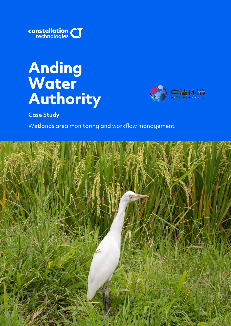

# **Anding Water**  Authority<br>Case Study



Wetlands area monitoring and workflow management

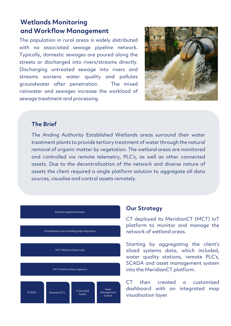# **Wetlands Monitoring and Workflow Management**

The population in rural areas is widely distributed with no associated sewage pipeline network. Typically, domestic sewages are poured along the streets or discharged into rivers/streams directly. Discharging untreated sewage into rivers and streams worsens water quality and pollutes groundwater after penetration. The mixed rainwater and sewages increase the workload of sewage treatment and processing.



### **The Brief**

The Anding Authority Established Wetlands areas surround their water treatment plants to provide tertiary treatment of water through the natural removal of organic matter by vegetation. The wetland areas are monitored and controlled via remote telemetry, PLC's, as well as other connected assets. Due to the decentralization of the network and diverse nature of assets the client required a single platform solution to aggregate all data sources, visualise and control assets remotely.



#### **Our Strategy**

CT deployed its MeridianCT (MCT) IoT platform to monitor and manage the network of wetland areas.

Starting by aggregating the client's siloed systems data, which included, water quality stations, remote PLC's, SCADA and asset management system into the MeridianCT platform.

CT then created a customised dashboard with an integrated map visualisation layer.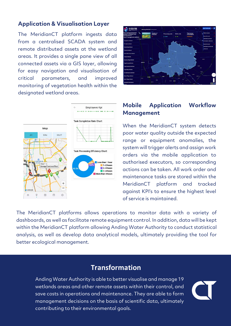## **Application & Visualisation Layer**

The MeridianCT platform ingests data from a centralised SCADA system and remote distributed assets at the wetland areas. It provides a single pane view of all connected assets via a GIS layer, allowing for easy navigation and visualisation of critical parameters, and improved monitoring of vegetation health within the designated wetland areas.





## **Mobile Application Workflow Management**

When the MeridianCT system detects poor water quality outside the expected range or equipment anomalies, the system will trigger alerts and assign work orders via the mobile application to authorised executors, so corresponding actions can be taken. All work order and maintenance tasks are stored within the MeridianCT platform and tracked against KPI's to ensure the highest level of service is maintained.

The MeridianCT platforms allows operations to monitor data with a variety of dashboards, as well as facilitate remote equipment control. In addition, data will be kept within the MeridianCT platform allowing Anding Water Authority to conduct statistical analysis, as well as develop data analytical models, ultimately providing the tool for better ecological management.

# **Transformation**

Anding Water Authority is able to better visualise and manage 19 wetlands areas and other remote assets within their control, and save costs in operations and maintenance. They are able to form management decisions on the basis of scientific data, ultimately contributing to their environmental goals.